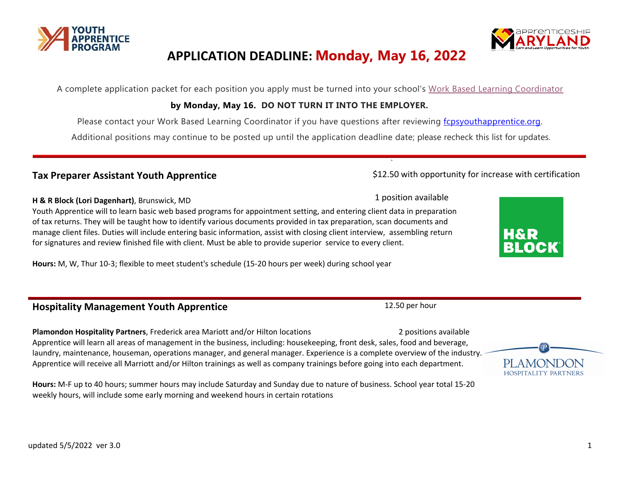# **APPLICATION DEADLINE: Monday, May 16, 2022**

A complete application packet for each position you apply must be turned into your school's [Work Based Learning Coordinator](http://www.fcpsyouthapprentice.org/contact.html)

#### **by Monday, May 16. DO NOT TURN IT INTO THE EMPLOYER.**

Please contact your Work Based Learning Coordinator if you have questions after reviewing [fcpsyouthapprentice.org.](http://www.fcpsyouthapprentice.org/students.html)

Additional positions may continue to be posted up until the application deadline date; please recheck this list for updates.

#### Tax Preparer Assistant Youth Apprentice **State and State Control** \$12.50 with opportunity for increase with certification

#### 1 position available **H & R Block (Lori Dagenhart)**, Brunswick, MD

Youth Apprentice will to learn basic web based programs for appointment setting, and entering client data in preparation of tax returns. They will be taught how to identify various documents provided in tax preparation, scan documents and manage client files. Duties will include entering basic information, assist with closing client interview, assembling return for signatures and review finished file with client. Must be able to provide superior service to every client.

**Hours:** M, W, Thur 10-3; flexible to meet student's schedule (15-20 hours per week) during school year

## **Hospitality Management Youth Apprentice** 12.50 per hour 12.50 per hour

**Plamondon Hospitality Partners**, Frederick area Mariott and/or Hilton locations 2 positions available 2 positions available Apprentice will learn all areas of management in the business, including: housekeeping, front desk, sales, food and beverage, laundry, maintenance, houseman, operations manager, and general manager. Experience is a complete overview of the industry. Apprentice will receive all Marriott and/or Hilton trainings as well as company trainings before going into each department.

**Hours:** M-F up to 40 hours; summer hours may include Saturday and Sunday due to nature of business. School year total 15-20 weekly hours, will include some early morning and weekend hours in certain rotations











1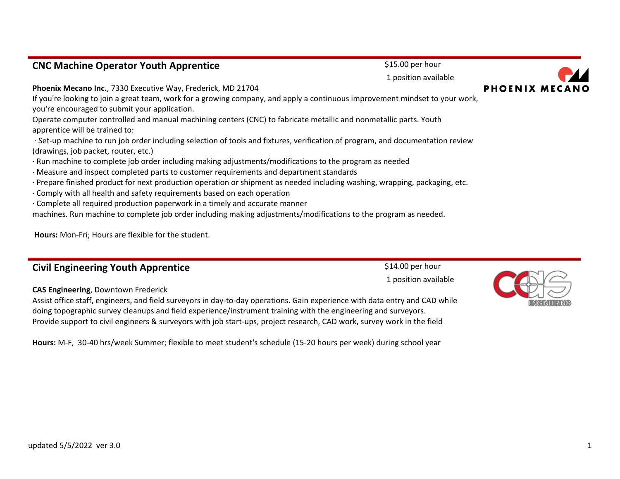#### **CNC Machine Operator Youth Apprentice** \$15.00 per hour

**Phoenix Mecano Inc.**, 7330 Executive Way, Frederick, MD 21704

If you're looking to join a great team, work for a growing company, and apply a continuous improvement mindset to your work, you're encouraged to submit your application.

Operate computer controlled and manual machining centers (CNC) to fabricate metallic and nonmetallic parts. Youth apprentice will be trained to:

- · Set-up machine to run job order including selection of tools and fixtures, verification of program, and documentation review (drawings, job packet, router, etc.)
- · Run machine to complete job order including making adjustments/modifications to the program as needed
- · Measure and inspect completed parts to customer requirements and department standards
- · Prepare finished product for next production operation or shipment as needed including washing, wrapping, packaging, etc.
- · Comply with all health and safety requirements based on each operation
- · Complete all required production paperwork in a timely and accurate manner

machines. Run machine to complete job order including making adjustments/modifications to the program as needed.

**Hours:** Mon-Fri; Hours are flexible for the student.

## **Civil Engineering Youth Apprentice S14.00** per hour

#### **CAS Engineering**, Downtown Frederick

Assist office staff, engineers, and field surveyors in day-to-day operations. Gain experience with data entry and CAD while doing topographic survey cleanups and field experience/instrument training with the engineering and surveyors. Provide support to civil engineers & surveyors with job start-ups, project research, CAD work, survey work in the field

**Hours:** M-F, 30-40 hrs/week Summer; flexible to meet student's schedule (15-20 hours per week) during school year





# 1 position available

1 position available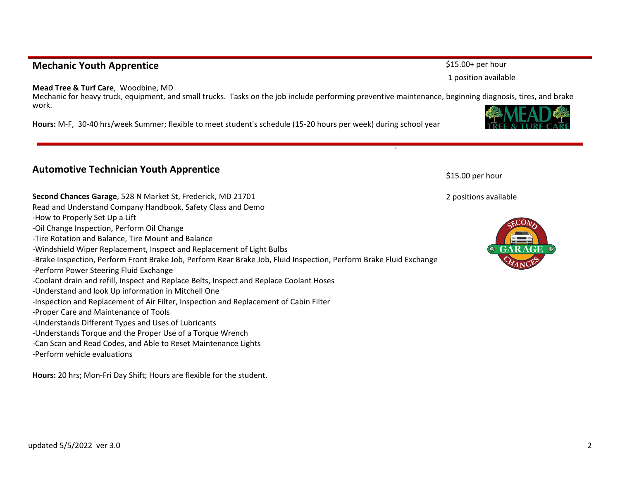## **Mechanic Youth Apprentice**  $$315.00+$  per hour

#### **Mead Tree & Turf Care**, Woodbine, MD

Mechanic for heavy truck, equipment, and small trucks. Tasks on the job include performing preventive maintenance, beginning diagnosis, tires, and brake work.

**Hours:** M-F, 30-40 hrs/week Summer; flexible to meet student's schedule (15-20 hours per week) during school year

## **Automotive Technician Youth Apprentice**

**Second Chances Garage**, 528 N Market St, Frederick, MD 21701

Read and Understand Company Handbook, Safety Class and Demo -How to Properly Set Up a Lift -Oil Change Inspection, Perform Oil Change -Tire Rotation and Balance, Tire Mount and Balance -Windshield Wiper Replacement, Inspect and Replacement of Light Bulbs -Brake Inspection, Perform Front Brake Job, Perform Rear Brake Job, Fluid Inspection, Perform Brake Fluid Exchange -Perform Power Steering Fluid Exchange -Coolant drain and refill, Inspect and Replace Belts, Inspect and Replace Coolant Hoses -Understand and look Up information in Mitchell One -Inspection and Replacement of Air Filter, Inspection and Replacement of Cabin Filter -Proper Care and Maintenance of Tools -Understands Different Types and Uses of Lubricants -Understands Torque and the Proper Use of a Torque Wrench -Can Scan and Read Codes, and Able to Reset Maintenance Lights -Perform vehicle evaluations

**Hours:** 20 hrs; Mon-Fri Day Shift; Hours are flexible for the student.

\$15.00 per hour

2 positions available





1 position available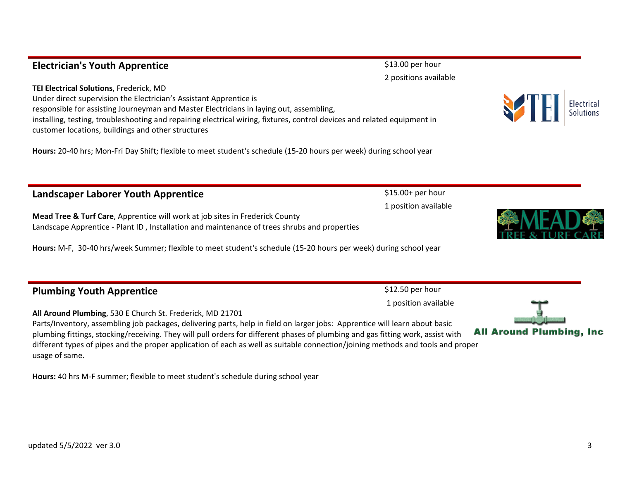## **Electrician's Youth Apprentice Electrician's Youth Apprentice**

**TEI Electrical Solutions**, Frederick, MD Under direct supervision the Electrician's Assistant Apprentice is responsible for assisting Journeyman and Master Electricians in laying out, assembling, installing, testing, troubleshooting and repairing electrical wiring, fixtures, control devices and related equipment in customer locations, buildings and other structures

**Hours:** 20-40 hrs; Mon-Fri Day Shift; flexible to meet student's schedule (15-20 hours per week) during school year

## **Landscaper Laborer Youth Apprentice 1998 Canadian Control 15.00+ per hour**

**Mead Tree & Turf Care**, Apprentice will work at job sites in Frederick County Landscape Apprentice - Plant ID , Installation and maintenance of trees shrubs and properties

**Hours:** M-F, 30-40 hrs/week Summer; flexible to meet student's schedule (15-20 hours per week) during school year

### **Plumbing Youth Apprentice**  $$12.50$  per hour 1 position available **All Around Plumbing**, 530 E Church St. Frederick, MD 21701 Parts/Inventory, assembling job packages, delivering parts, help in field on larger jobs: Apprentice will learn about basic

plumbing fittings, stocking/receiving. They will pull orders for different phases of plumbing and gas fitting work, assist with different types of pipes and the proper application of each as well as suitable connection/joining methods and tools and proper usage of same.

**Hours:** 40 hrs M-F summer; flexible to meet student's schedule during school year



1 position available

2 positions available

**All Around Plumbing, Inc.** 

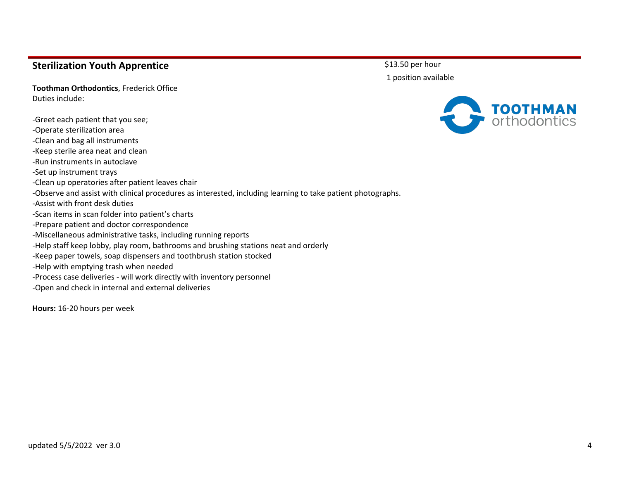#### **Sterilization Youth Apprentice**

**Toothman Orthodontics**, Frederick Office Duties include:

-Greet each patient that you see; -Operate sterilization area -Clean and bag all instruments -Keep sterile area neat and clean -Run instruments in autoclave -Set up instrument trays -Clean up operatories after patient leaves chair -Observe and assist with clinical procedures as interested, including learning to take patient photographs. -Assist with front desk duties -Scan items in scan folder into patient's charts -Prepare patient and doctor correspondence -Miscellaneous administrative tasks, including running reports -Help staff keep lobby, play room, bathrooms and brushing stations neat and orderly -Keep paper towels, soap dispensers and toothbrush station stocked -Help with emptying trash when needed -Process case deliveries - will work directly with inventory personnel -Open and check in internal and external deliveries

**Hours:** 16-20 hours per week

\$13.50 per hour 1 position available

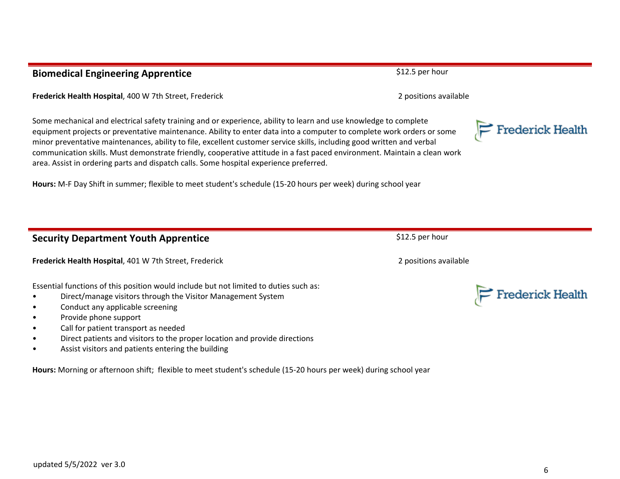## **Biomedical Engineering Apprentice Biomedical Engineering Apprentice**

**Frederick Health Hospital**, 400 W 7th Street, Frederick 2 positions available 2 positions available

Some mechanical and electrical safety training and or experience, ability to learn and use knowledge to complete equipment projects or preventative maintenance. Ability to enter data into a computer to complete work orders or some minor preventative maintenances, ability to file, excellent customer service skills, including good written and verbal communication skills. Must demonstrate friendly, cooperative attitude in a fast paced environment. Maintain a clean work area. Assist in ordering parts and dispatch calls. Some hospital experience preferred.

**Hours:** M-F Day Shift in summer; flexible to meet student's schedule (15-20 hours per week) during school year

## **Security Department Youth Apprentice Security Department Youth Apprentice** \$12.5 per hour

**Frederick Health Hospital**, 401 W 7th Street, Frederick 2 positions available 2 positions available

Essential functions of this position would include but not limited to duties such as:

- Direct/manage visitors through the Visitor Management System
- Conduct any applicable screening
- Provide phone support
- Call for patient transport as needed
- Direct patients and visitors to the proper location and provide directions
- Assist visitors and patients entering the building

**Hours:** Morning or afternoon shift; flexible to meet student's schedule (15-20 hours per week) during school year



 $\geq$  Frederick Health



6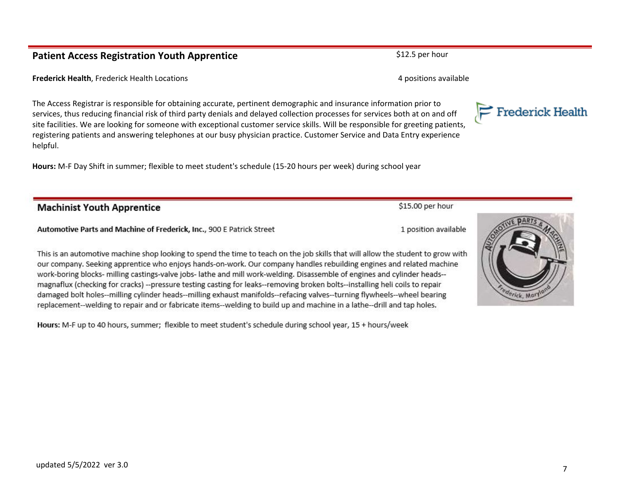#### **Patient Access Registration Youth Apprentice Example 2018** S12.5 per hour

**Frederick Health**, Frederick Health Locations **According to the Control of According Control of According to According the According of According to According the According of According to According the According of Accor** 

The Access Registrar is responsible for obtaining accurate, pertinent demographic and insurance information prior to services, thus reducing financial risk of third party denials and delayed collection processes for services both at on and off site facilities. We are looking for someone with exceptional customer service skills. Will be responsible for greeting patients, registering patients and answering telephones at our busy physician practice. Customer Service and Data Entry experience helpful.

**Hours:** M-F Day Shift in summer; flexible to meet student's schedule (15-20 hours per week) during school year

### **Machinist Youth Apprentice**

#### Automotive Parts and Machine of Frederick, Inc., 900 E Patrick Street

This is an automotive machine shop looking to spend the time to teach on the job skills that will allow the student to grow with our company. Seeking apprentice who enjoys hands-on-work. Our company handles rebuilding engines and related machine work-boring blocks- milling castings-valve jobs- lathe and mill work-welding. Disassemble of engines and cylinder heads-magnaflux (checking for cracks) --pressure testing casting for leaks--removing broken bolts--installing heli coils to repair damaged bolt holes--milling cylinder heads--milling exhaust manifolds--refacing valves--turning flywheels--wheel bearing replacement--welding to repair and or fabricate items--welding to build up and machine in a lathe--drill and tap holes.

Hours: M-F up to 40 hours, summer; flexible to meet student's schedule during school year, 15 + hours/week



1 position available

\$15.00 per hour

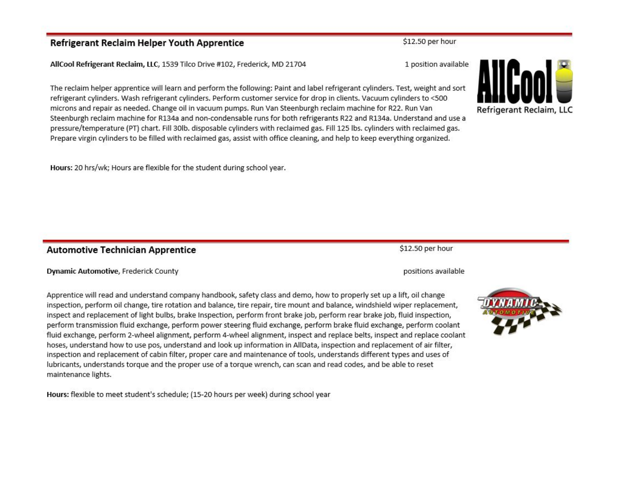#### **Refrigerant Reclaim Helper Youth Apprentice**

AllCool Refrigerant Reclaim, LLC, 1539 Tilco Drive #102, Frederick, MD 21704

The reclaim helper apprentice will learn and perform the following: Paint and label refrigerant cylinders. Test, weight and sort refrigerant cylinders. Wash refrigerant cylinders. Perform customer service for drop in clients. Vacuum cylinders to <500 microns and repair as needed. Change oil in vacuum pumps. Run Van Steenburgh reclaim machine for R22. Run Van Steenburgh reclaim machine for R134a and non-condensable runs for both refrigerants R22 and R134a. Understand and use a pressure/temperature (PT) chart. Fill 30lb. disposable cylinders with reclaimed gas. Fill 125 lbs. cylinders with reclaimed gas. Prepare virgin cylinders to be filled with reclaimed gas, assist with office cleaning, and help to keep everything organized.

Hours: 20 hrs/wk; Hours are flexible for the student during school year.

#### **Automotive Technician Apprentice**

#### Dynamic Automotive, Frederick County

Apprentice will read and understand company handbook, safety class and demo, how to properly set up a lift, oil change inspection, perform oil change, tire rotation and balance, tire repair, tire mount and balance, windshield wiper replacement, inspect and replacement of light bulbs, brake Inspection, perform front brake job, perform rear brake job, fluid inspection, perform transmission fluid exchange, perform power steering fluid exchange, perform brake fluid exchange, perform coolant fluid exchange, perform 2-wheel alignment, perform 4-wheel alignment, inspect and replace belts, inspect and replace coolant hoses, understand how to use pos, understand and look up information in AllData, inspection and replacement of air filter, inspection and replacement of cabin filter, proper care and maintenance of tools, understands different types and uses of lubricants, understands torque and the proper use of a torque wrench, can scan and read codes, and be able to reset maintenance lights.

Hours: flexible to meet student's schedule; (15-20 hours per week) during school year

1 position available

\$12.50 per hour

positions available

\$12.50 per hour